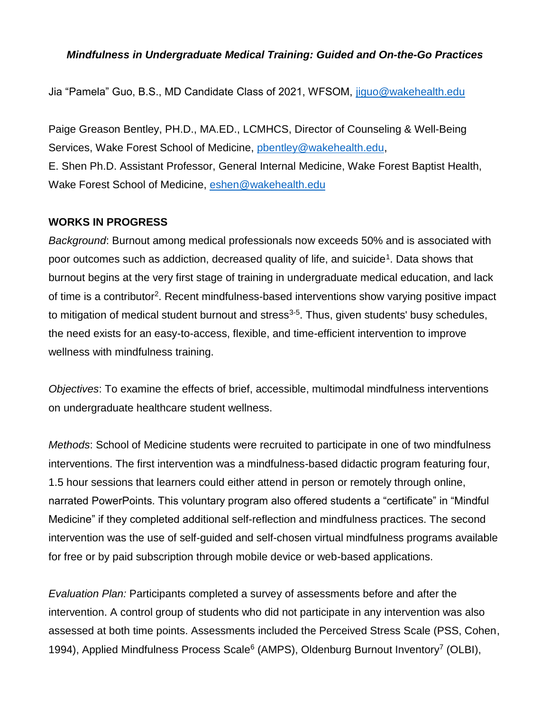## *Mindfulness in Undergraduate Medical Training: Guided and On-the-Go Practices*

Jia "Pamela" Guo, B.S., MD Candidate Class of 2021, WFSOM, [jiguo@wakehealth.edu](mailto:jiguo@wakehealth.edu)

Paige Greason Bentley, PH.D., MA.ED., LCMHCS, Director of Counseling & Well-Being Services, Wake Forest School of Medicine, [pbentley@wakehealth.edu,](mailto:pbentley@wakehealth.edu) E. Shen Ph.D. Assistant Professor, General Internal Medicine, Wake Forest Baptist Health, Wake Forest School of Medicine, [eshen@wakehealth.edu](mailto:eshen@wakehealth.edu)

## **WORKS IN PROGRESS**

*Background*: Burnout among medical professionals now exceeds 50% and is associated with poor outcomes such as addiction, decreased quality of life, and suicide<sup>1</sup>. Data shows that burnout begins at the very first stage of training in undergraduate medical education, and lack of time is a contributor<sup>2</sup>. Recent mindfulness-based interventions show varying positive impact to mitigation of medical student burnout and stress<sup>3-5</sup>. Thus, given students' busy schedules, the need exists for an easy-to-access, flexible, and time-efficient intervention to improve wellness with mindfulness training.

*Objectives*: To examine the effects of brief, accessible, multimodal mindfulness interventions on undergraduate healthcare student wellness.

*Methods*: School of Medicine students were recruited to participate in one of two mindfulness interventions. The first intervention was a mindfulness-based didactic program featuring four, 1.5 hour sessions that learners could either attend in person or remotely through online, narrated PowerPoints. This voluntary program also offered students a "certificate" in "Mindful Medicine" if they completed additional self-reflection and mindfulness practices. The second intervention was the use of self-guided and self-chosen virtual mindfulness programs available for free or by paid subscription through mobile device or web-based applications.

*Evaluation Plan:* Participants completed a survey of assessments before and after the intervention. A control group of students who did not participate in any intervention was also assessed at both time points. Assessments included the Perceived Stress Scale (PSS, Cohen, 1994), Applied Mindfulness Process Scale<sup>6</sup> (AMPS), Oldenburg Burnout Inventory<sup>7</sup> (OLBI),